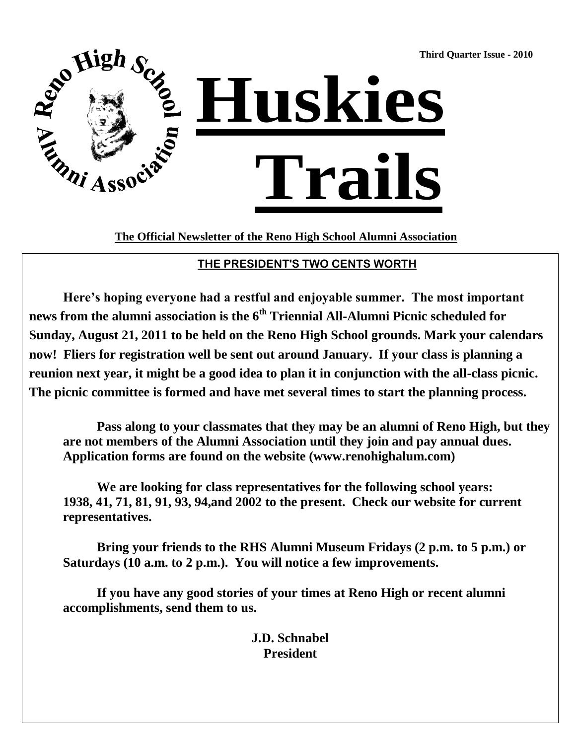**Third Quarter Issue - 2010**



**The Official Newsletter of the Reno High School Alumni Association**

## **THE PRESIDENT'S TWO CENTS WORTH**

**Here's hoping everyone had a restful and enjoyable summer. The most important news from the alumni association is the 6th Triennial All-Alumni Picnic scheduled for Sunday, August 21, 2011 to be held on the Reno High School grounds. Mark your calendars now! Fliers for registration well be sent out around January. If your class is planning a reunion next year, it might be a good idea to plan it in conjunction with the all-class picnic. The picnic committee is formed and have met several times to start the planning process.**

**Pass along to your classmates that they may be an alumni of Reno High, but they are not members of the Alumni Association until they join and pay annual dues. Application forms are found on the website (www.renohighalum.com)**

**We are looking for class representatives for the following school years: 1938, 41, 71, 81, 91, 93, 94,and 2002 to the present. Check our website for current representatives.** 

**Bring your friends to the RHS Alumni Museum Fridays (2 p.m. to 5 p.m.) or Saturdays (10 a.m. to 2 p.m.). You will notice a few improvements.**

**If you have any good stories of your times at Reno High or recent alumni accomplishments, send them to us.**

> **J.D. Schnabel President**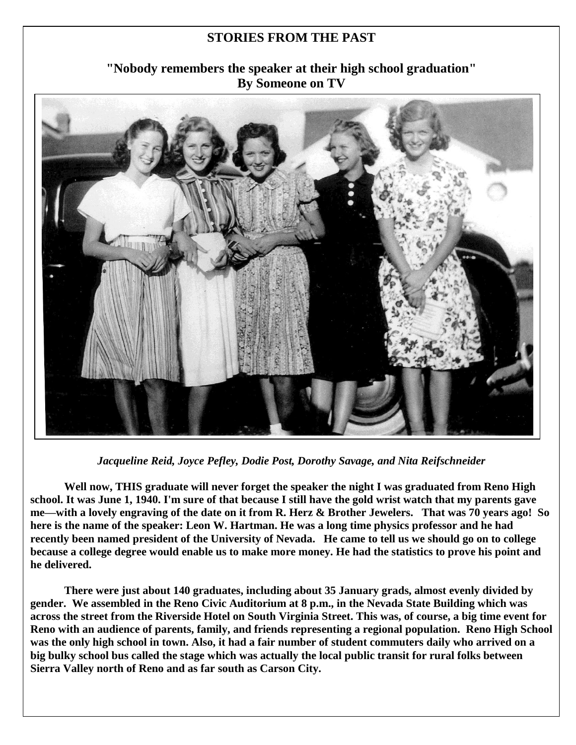#### **STORIES FROM THE PAST**

## **"Nobody remembers the speaker at their high school graduation" By Someone on TV**



*Jacqueline Reid, Joyce Pefley, Dodie Post, Dorothy Savage, and Nita Reifschneider*

**Well now, THIS graduate will never forget the speaker the night I was graduated from Reno High school. It was June 1, 1940. I'm sure of that because I still have the gold wrist watch that my parents gave me—with a lovely engraving of the date on it from R. Herz & Brother Jewelers. That was 70 years ago! So here is the name of the speaker: Leon W. Hartman. He was a long time physics professor and he had recently been named president of the University of Nevada. He came to tell us we should go on to college because a college degree would enable us to make more money. He had the statistics to prove his point and he delivered.**

**There were just about 140 graduates, including about 35 January grads, almost evenly divided by gender. We assembled in the Reno Civic Auditorium at 8 p.m., in the Nevada State Building which was across the street from the Riverside Hotel on South Virginia Street. This was, of course, a big time event for Reno with an audience of parents, family, and friends representing a regional population. Reno High School was the only high school in town. Also, it had a fair number of student commuters daily who arrived on a big bulky school bus called the stage which was actually the local public transit for rural folks between Sierra Valley north of Reno and as far south as Carson City.**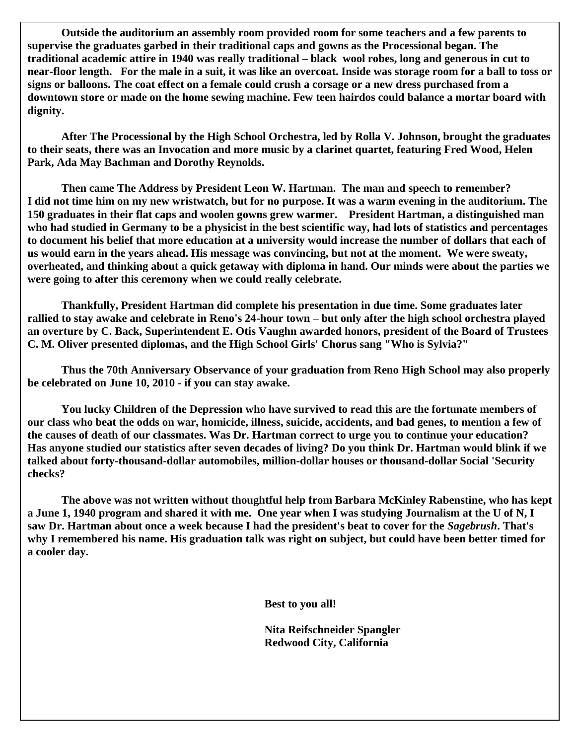**Outside the auditorium an assembly room provided room for some teachers and a few parents to supervise the graduates garbed in their traditional caps and gowns as the Processional began. The traditional academic attire in 1940 was really traditional – black wool robes, long and generous in cut to near-floor length. For the male in a suit, it was like an overcoat. Inside was storage room for a ball to toss or signs or balloons. The coat effect on a female could crush a corsage or a new dress purchased from a downtown store or made on the home sewing machine. Few teen hairdos could balance a mortar board with dignity.**

**After The Processional by the High School Orchestra, led by Rolla V. Johnson, brought the graduates to their seats, there was an Invocation and more music by a clarinet quartet, featuring Fred Wood, Helen Park, Ada May Bachman and Dorothy Reynolds.**

**Then came The Address by President Leon W. Hartman. The man and speech to remember? I did not time him on my new wristwatch, but for no purpose. It was a warm evening in the auditorium. The 150 graduates in their flat caps and woolen gowns grew warmer. President Hartman, a distinguished man who had studied in Germany to be a physicist in the best scientific way, had lots of statistics and percentages to document his belief that more education at a university would increase the number of dollars that each of us would earn in the years ahead. His message was convincing, but not at the moment. We were sweaty, overheated, and thinking about a quick getaway with diploma in hand. Our minds were about the parties we were going to after this ceremony when we could really celebrate.**

**Thankfully, President Hartman did complete his presentation in due time. Some graduates later rallied to stay awake and celebrate in Reno's 24-hour town – but only after the high school orchestra played an overture by C. Back, Superintendent E. Otis Vaughn awarded honors, president of the Board of Trustees C. M. Oliver presented diplomas, and the High School Girls' Chorus sang "Who is Sylvia?"**

**Thus the 70th Anniversary Observance of your graduation from Reno High School may also properly be celebrated on June 10, 2010 - if you can stay awake.**

**You lucky Children of the Depression who have survived to read this are the fortunate members of our class who beat the odds on war, homicide, illness, suicide, accidents, and bad genes, to mention a few of the causes of death of our classmates. Was Dr. Hartman correct to urge you to continue your education? Has anyone studied our statistics after seven decades of living? Do you think Dr. Hartman would blink if we talked about forty-thousand-dollar automobiles, million-dollar houses or thousand-dollar Social 'Security checks?**

**The above was not written without thoughtful help from Barbara McKinley Rabenstine, who has kept a June 1, 1940 program and shared it with me. One year when I was studying Journalism at the U of N, I saw Dr. Hartman about once a week because I had the president's beat to cover for the** *Sagebrush***. That's why I remembered his name. His graduation talk was right on subject, but could have been better timed for a cooler day.**

**Best to you all!**

**Nita Reifschneider Spangler Redwood City, California**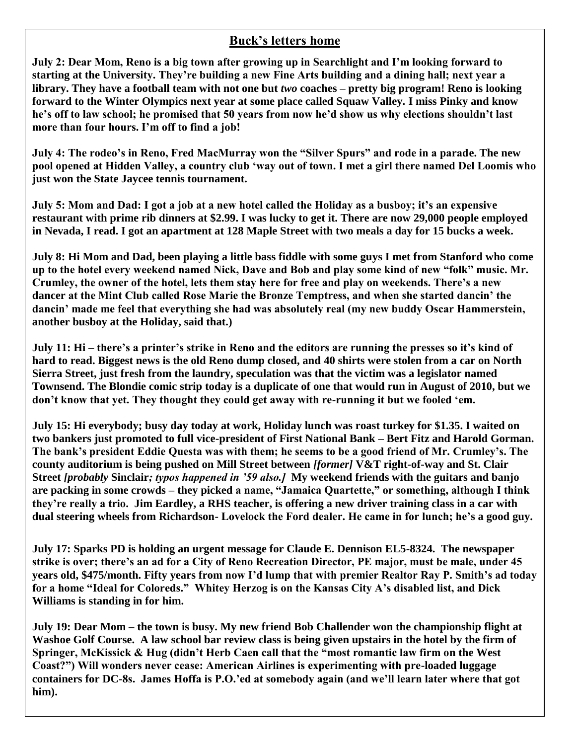#### **Buck's letters home**

**July 2: Dear Mom, Reno is a big town after growing up in Searchlight and I'm looking forward to starting at the University. They're building a new Fine Arts building and a dining hall; next year a library. They have a football team with not one but** *two* **coaches – pretty big program! Reno is looking forward to the Winter Olympics next year at some place called Squaw Valley. I miss Pinky and know he's off to law school; he promised that 50 years from now he'd show us why elections shouldn't last more than four hours. I'm off to find a job!**

July 4: The rodeo's in Reno, Fred MacMurray won the "Silver Spurs" and rode in a parade. The new **pool opened at Hidden Valley, a country club ‗way out of town. I met a girl there named Del Loomis who just won the State Jaycee tennis tournament.**

**July 5: Mom and Dad: I got a job at a new hotel called the Holiday as a busboy; it's an expensive restaurant with prime rib dinners at \$2.99. I was lucky to get it. There are now 29,000 people employed in Nevada, I read. I got an apartment at 128 Maple Street with two meals a day for 15 bucks a week.**

**July 8: Hi Mom and Dad, been playing a little bass fiddle with some guys I met from Stanford who come**  up to the hotel every weekend named Nick, Dave and Bob and play some kind of new "folk" music. Mr. **Crumley, the owner of the hotel, lets them stay here for free and play on weekends. There's a new dancer at the Mint Club called Rose Marie the Bronze Temptress, and when she started dancin' the dancin' made me feel that everything she had was absolutely real (my new buddy Oscar Hammerstein, another busboy at the Holiday, said that.)**

**July 11: Hi – there's a printer's strike in Reno and the editors are running the presses so it's kind of hard to read. Biggest news is the old Reno dump closed, and 40 shirts were stolen from a car on North Sierra Street, just fresh from the laundry, speculation was that the victim was a legislator named Townsend. The Blondie comic strip today is a duplicate of one that would run in August of 2010, but we**  don't know that yet. They thought they could get away with re-running it but we fooled 'em.

**July 15: Hi everybody; busy day today at work, Holiday lunch was roast turkey for \$1.35. I waited on two bankers just promoted to full vice-president of First National Bank – Bert Fitz and Harold Gorman. The bank's president Eddie Questa was with them; he seems to be a good friend of Mr. Crumley's. The county auditorium is being pushed on Mill Street between** *[former]* **V&T right-of-way and St. Clair Street** *[probably* **Sinclair***; typos happened in '59 also.]* **My weekend friends with the guitars and banjo**  are packing in some crowds – they picked a name, "Jamaica Quartette," or something, although I think **they're really a trio. Jim Eardley, a RHS teacher, is offering a new driver training class in a car with dual steering wheels from Richardson- Lovelock the Ford dealer. He came in for lunch; he's a good guy.** 

**July 17: Sparks PD is holding an urgent message for Claude E. Dennison EL5-8324. The newspaper strike is over; there's an ad for a City of Reno Recreation Director, PE major, must be male, under 45 years old, \$475/month. Fifty years from now I'd lump that with premier Realtor Ray P. Smith's ad today**  for a home "Ideal for Coloreds." Whitey Herzog is on the Kansas City A's disabled list, and Dick **Williams is standing in for him.** 

**July 19: Dear Mom – the town is busy. My new friend Bob Challender won the championship flight at Washoe Golf Course. A law school bar review class is being given upstairs in the hotel by the firm of**  Springer, McKissick & Hug (didn't Herb Caen call that the "most romantic law firm on the West **Coast?‖) Will wonders never cease: American Airlines is experimenting with pre-loaded luggage containers for DC-8s. James Hoffa is P.O.'ed at somebody again (and we'll learn later where that got him).**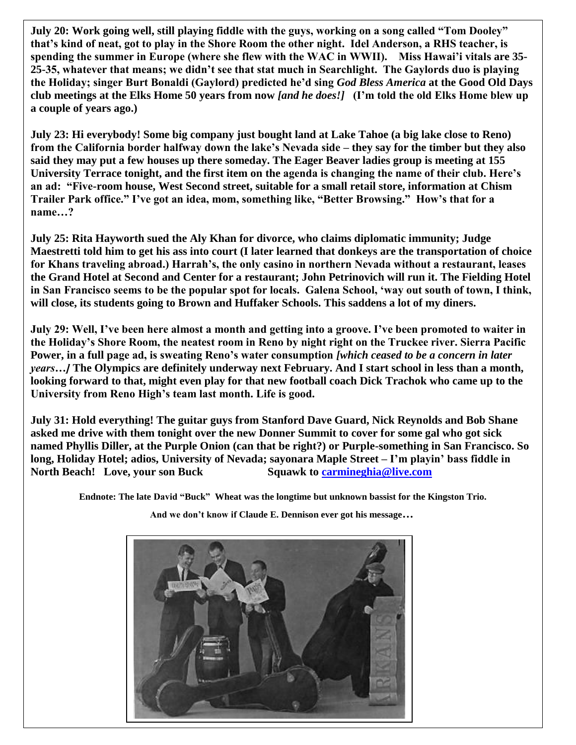**July 20: Work going well, still playing fiddle with the guys, working on a song called "Tom Dooley" that's kind of neat, got to play in the Shore Room the other night. Idel Anderson, a RHS teacher, is spending the summer in Europe (where she flew with the WAC in WWII). Miss Hawai'i vitals are 35- 25-35, whatever that means; we didn't see that stat much in Searchlight. The Gaylords duo is playing the Holiday; singer Burt Bonaldi (Gaylord) predicted he'd sing** *God Bless America* **at the Good Old Days club meetings at the Elks Home 50 years from now** *[and he does!]* **(I'm told the old Elks Home blew up a couple of years ago.)**

**July 23: Hi everybody! Some big company just bought land at Lake Tahoe (a big lake close to Reno) from the California border halfway down the lake's Nevada side – they say for the timber but they also said they may put a few houses up there someday. The Eager Beaver ladies group is meeting at 155 University Terrace tonight, and the first item on the agenda is changing the name of their club. Here's an ad: ―Five-room house, West Second street, suitable for a small retail store, information at Chism**  Trailer Park office." I've got an idea, mom, something like, "Better Browsing." How's that for a **name…?** 

**July 25: Rita Hayworth sued the Aly Khan for divorce, who claims diplomatic immunity; Judge Maestretti told him to get his ass into court (I later learned that donkeys are the transportation of choice for Khans traveling abroad.) Harrah's, the only casino in northern Nevada without a restaurant, leases the Grand Hotel at Second and Center for a restaurant; John Petrinovich will run it. The Fielding Hotel in San Francisco seems to be the popular spot for locals. Galena School, ‗way out south of town, I think, will close, its students going to Brown and Huffaker Schools. This saddens a lot of my diners.**

**July 29: Well, I've been here almost a month and getting into a groove. I've been promoted to waiter in the Holiday's Shore Room, the neatest room in Reno by night right on the Truckee river. Sierra Pacific Power, in a full page ad, is sweating Reno's water consumption** *[which ceased to be a concern in later years…]* **The Olympics are definitely underway next February. And I start school in less than a month, looking forward to that, might even play for that new football coach Dick Trachok who came up to the University from Reno High's team last month. Life is good.**

**July 31: Hold everything! The guitar guys from Stanford Dave Guard, Nick Reynolds and Bob Shane asked me drive with them tonight over the new Donner Summit to cover for some gal who got sick named Phyllis Diller, at the Purple Onion (can that be right?) or Purple-something in San Francisco. So long, Holiday Hotel; adios, University of Nevada; sayonara Maple Street – I'm playin' bass fiddle in North Beach! Love, your son Buck Squawk to [carmineghia@live.com](mailto:carmineghia@live.com)**

Endnote: The late David "Buck" Wheat was the longtime but unknown bassist for the Kingston Trio.

**And we don't know if Claude E. Dennison ever got his message…**

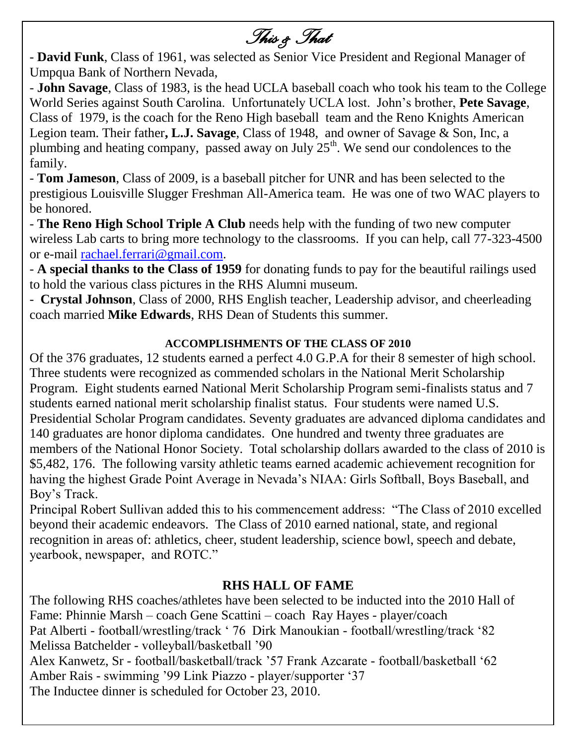*This & That* 

- **David Funk**, Class of 1961, was selected as Senior Vice President and Regional Manager of Umpqua Bank of Northern Nevada,

- **John Savage**, Class of 1983, is the head UCLA baseball coach who took his team to the College World Series against South Carolina. Unfortunately UCLA lost. John"s brother, **Pete Savage**, Class of 1979, is the coach for the Reno High baseball team and the Reno Knights American Legion team. Their father**, L.J. Savage**, Class of 1948, and owner of Savage & Son, Inc, a plumbing and heating company, passed away on July  $25<sup>th</sup>$ . We send our condolences to the family.

- **Tom Jameson**, Class of 2009, is a baseball pitcher for UNR and has been selected to the prestigious Louisville Slugger Freshman All-America team. He was one of two WAC players to be honored.

- **The Reno High School Triple A Club** needs help with the funding of two new computer wireless Lab carts to bring more technology to the classrooms. If you can help, call 77-323-4500 or e-mail rachael.ferrari@gmail.com.

- **A special thanks to the Class of 1959** for donating funds to pay for the beautiful railings used to hold the various class pictures in the RHS Alumni museum.

- **Crystal Johnson**, Class of 2000, RHS English teacher, Leadership advisor, and cheerleading coach married **Mike Edwards**, RHS Dean of Students this summer.

## **ACCOMPLISHMENTS OF THE CLASS OF 2010**

Of the 376 graduates, 12 students earned a perfect 4.0 G.P.A for their 8 semester of high school. Three students were recognized as commended scholars in the National Merit Scholarship Program. Eight students earned National Merit Scholarship Program semi-finalists status and 7 students earned national merit scholarship finalist status. Four students were named U.S. Presidential Scholar Program candidates. Seventy graduates are advanced diploma candidates and 140 graduates are honor diploma candidates. One hundred and twenty three graduates are members of the National Honor Society. Total scholarship dollars awarded to the class of 2010 is \$5,482, 176. The following varsity athletic teams earned academic achievement recognition for having the highest Grade Point Average in Nevada"s NIAA: Girls Softball, Boys Baseball, and Boy"s Track.

Principal Robert Sullivan added this to his commencement address: "The Class of 2010 excelled beyond their academic endeavors. The Class of 2010 earned national, state, and regional recognition in areas of: athletics, cheer, student leadership, science bowl, speech and debate, yearbook, newspaper, and ROTC."

## **RHS HALL OF FAME**

The following RHS coaches/athletes have been selected to be inducted into the 2010 Hall of Fame: Phinnie Marsh – coach Gene Scattini – coach Ray Hayes - player/coach Pat Alberti - football/wrestling/track " 76 Dirk Manoukian - football/wrestling/track "82 Melissa Batchelder - volleyball/basketball "90 Alex Kanwetz, Sr - football/basketball/track "57 Frank Azcarate - football/basketball "62 Amber Rais - swimming "99 Link Piazzo - player/supporter "37 The Inductee dinner is scheduled for October 23, 2010.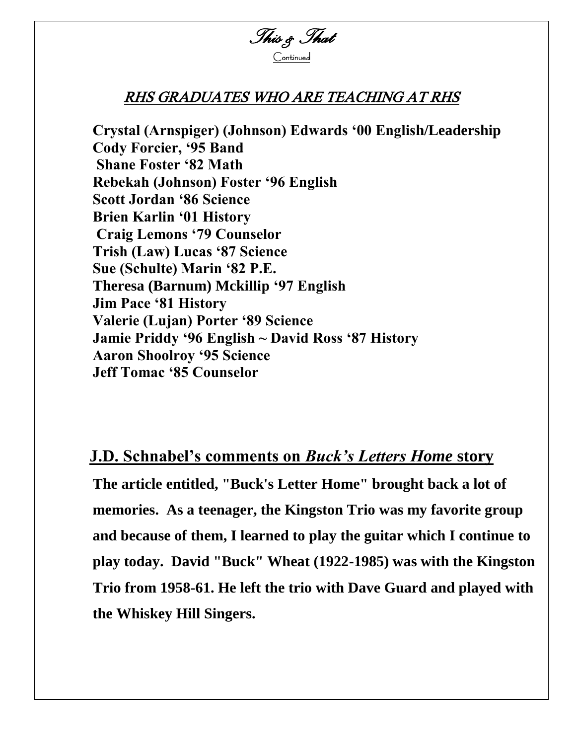

## RHS GRADUATES WHO ARE TEACHING AT RHS

**Crystal (Arnspiger) (Johnson) Edwards ‗00 English/Leadership Cody Forcier, ‗95 Band Shane Foster ‗82 Math Rebekah (Johnson) Foster ‗96 English Scott Jordan ‗86 Science Brien Karlin ‗01 History Craig Lemons ‗79 Counselor Trish (Law) Lucas ‗87 Science Sue (Schulte) Marin ‗82 P.E. Theresa (Barnum) Mckillip ‗97 English Jim Pace ‗81 History Valerie (Lujan) Porter ‗89 Science Jamie Priddy ‗96 English ~ David Ross ‗87 History Aaron Shoolroy ‗95 Science Jeff Tomac ‗85 Counselor**

# **J.D. Schnabel's comments on** *Buck's Letters Home* **story**

**The article entitled, "Buck's Letter Home" brought back a lot of memories. As a teenager, the Kingston Trio was my favorite group and because of them, I learned to play the guitar which I continue to play today. David "Buck" Wheat (1922-1985) was with the Kingston Trio from 1958-61. He left the trio with Dave Guard and played with the Whiskey Hill Singers.**